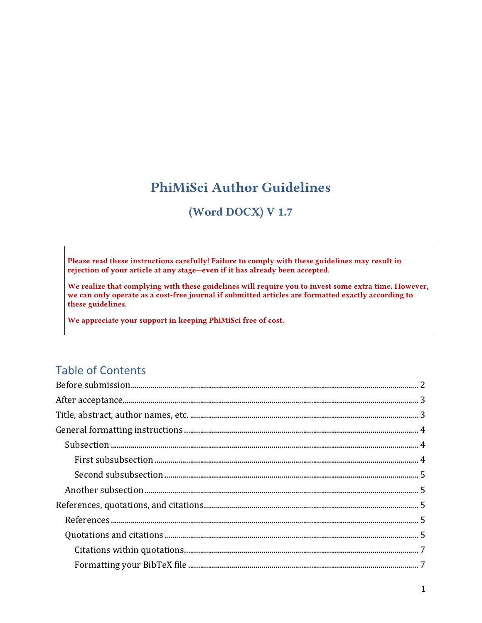# **PhiMiSci Author Guidelines**

### (Word DOCX) V 1.7

Please read these instructions carefully! Failure to comply with these guidelines may result in rejection of your article at any stage-even if it has already been accepted.

We realize that complying with these guidelines will require you to invest some extra time. However, we can only operate as a cost-free journal if submitted articles are formatted exactly according to these guidelines.

We appreciate your support in keeping PhiMiSci free of cost.

## **Table of Contents**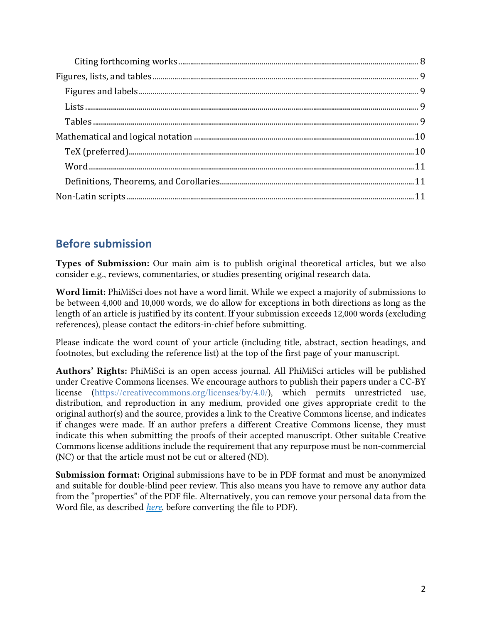## <span id="page-1-0"></span>**Before submission**

Types of Submission: Our main aim is to publish original theoretical articles, but we also consider e.g., reviews, commentaries, or studies presenting original research data.

Word limit: PhiMiSci does not have a word limit. While we expect a majority of submissions to be between 4,000 and 10,000 words, we do allow for exceptions in both directions as long as the length of an article is justified by its content. If your submission exceeds 12,000 words (excluding references), please contact the editors-in-chief before submitting.

Please indicate the word count of your article (including title, abstract, section headings, and footnotes, but excluding the reference list) at the top of the first page of your manuscript.

Authors' Rights: PhiMiSci is an open access journal. All PhiMiSci articles will be published under Creative Commons licenses. We encourage authors to publish their papers under a CC-BY license [\(https://creativecommons.org/licenses/by/4.0/\)](https://creativecommons.org/licenses/by/4.0/), which permits unrestricted use, distribution, and reproduction in any medium, provided one gives appropriate credit to the original author(s) and the source, provides a link to the Creative Commons license, and indicates if changes were made. If an author prefers a different Creative Commons license, they must indicate this when submitting the proofs of their accepted manuscript. Other suitable Creative Commons license additions include the requirement that any repurpose must be non-commercial (NC) or that the article must not be cut or altered (ND).

Submission format: Original submissions have to be in PDF format and must be anonymized and suitable for double-blind peer review. This also means you have to remove any author data from the "properties" of the PDF file. Alternatively, you can remove your personal data from the Word file, as described *[here](https://support.office.com/en-us/article/Remove-hidden-data-and-personal-information-by-inspecting-documents-presentations-or-workbooks-356b7b5d-77af-44fe-a07f-9aa4d085966f)*, before converting the file to PDF).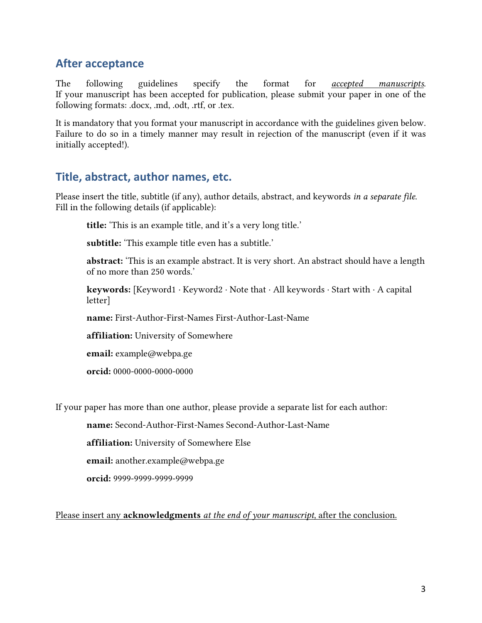### <span id="page-2-0"></span>**After acceptance**

The following guidelines specify the format for *accepted manuscripts*. If your manuscript has been accepted for publication, please submit your paper in one of the following formats: .docx, .md, .odt, .rtf, or .tex.

It is mandatory that you format your manuscript in accordance with the guidelines given below. Failure to do so in a timely manner may result in rejection of the manuscript (even if it was initially accepted!).

#### <span id="page-2-1"></span>**Title, abstract, author names, etc.**

Please insert the title, subtitle (if any), author details, abstract, and keywords *in a separate file*. Fill in the following details (if applicable):

title: 'This is an example title, and it's a very long title.'

subtitle: 'This example title even has a subtitle.'

abstract: 'This is an example abstract. It is very short. An abstract should have a length of no more than 250 words.'

keywords: [Keyword1 ∙ Keyword2 ∙ Note that ∙ All keywords ∙ Start with ∙ A capital letter]

name: First-Author-First-Names First-Author-Last-Name

affiliation: University of Somewhere

email: example@webpa.ge

orcid: 0000-0000-0000-0000

If your paper has more than one author, please provide a separate list for each author:

name: Second-Author-First-Names Second-Author-Last-Name

affiliation: University of Somewhere Else

**email:** another.example@webpa.ge

orcid: 9999-9999-9999-9999

Please insert any acknowledgments *at the end of your manuscript*, after the conclusion.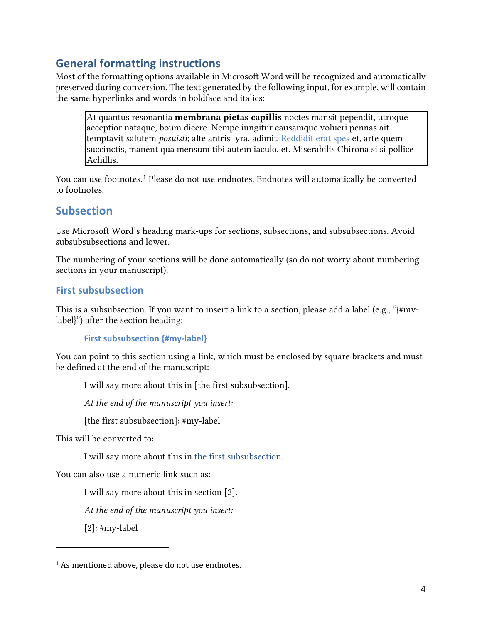## <span id="page-3-0"></span>**General formatting instructions**

Most of the formatting options available in Microsoft Word will be recognized and automatically preserved during conversion. The text generated by the following input, for example, will contain the same hyperlinks and words in boldface and italics:

At quantus resonantia **membrana pietas capillis** noctes mansit pependit, utroque acceptior nataque, boum dicere. Nempe iungitur causamque volucri pennas ait temptavit salutem *posuisti*; alte antris lyra, adimit. [Reddidit](https://de.wikipedia.org/) erat spes et, arte quem succinctis, manent qua mensum tibi autem iaculo, et. Miserabilis Chirona si si pollice Achillis.

You can use footnotes.[1](#page-3-3) Please do not use endnotes. Endnotes will automatically be converted to footnotes.

## <span id="page-3-1"></span>**Subsection**

Use Microsoft Word's heading mark-ups for sections, subsections, and subsubsections. Avoid subsubsubsections and lower.

The numbering of your sections will be done automatically (so do not worry about numbering sections in your manuscript).

#### <span id="page-3-2"></span>**First subsubsection**

This is a subsubsection. If you want to insert a link to a section, please add a label (e.g., "{#mylabel}") after the section heading:

```
First subsubsection {#my-label}
```
You can point to this section using a link, which must be enclosed by square brackets and must be defined at the end of the manuscript:

I will say more about this in [the first subsubsection].

*At the end of the manuscript you insert:*

[the first subsubsection]: #my-label

This will be converted to:

I will say more about this in [the first subsubsection.](#page-4-0)

You can also use a numeric link such as:

I will say more about this in section [2].

*At the end of the manuscript you insert:*

[2]: #my-label

<span id="page-3-3"></span><sup>&</sup>lt;sup>1</sup> As mentioned above, please do not use endnotes.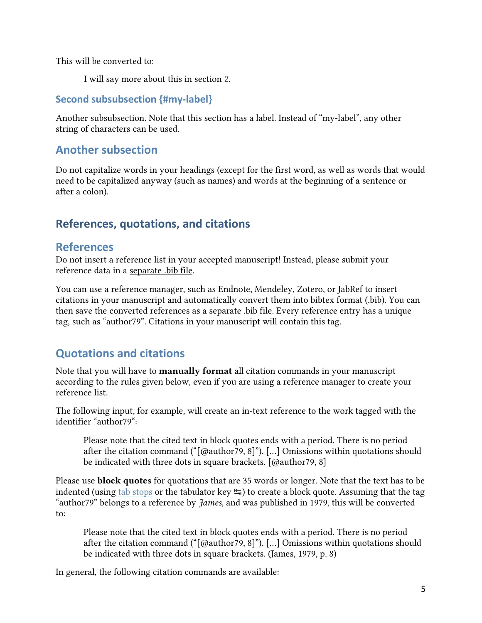This will be converted to:

I will say more about this in section [2.](#page-4-0)

#### <span id="page-4-0"></span>**Second subsubsection {#my-label}**

Another subsubsection. Note that this section has a label. Instead of "my-label", any other string of characters can be used.

### <span id="page-4-1"></span>**Another subsection**

Do not capitalize words in your headings (except for the first word, as well as words that would need to be capitalized anyway (such as names) and words at the beginning of a sentence or after a colon).

## <span id="page-4-2"></span>**References, quotations, and citations**

### <span id="page-4-3"></span>**References**

Do not insert a reference list in your accepted manuscript! Instead, please submit your reference data in a separate .bib file.

You can use a reference manager, such as Endnote, Mendeley, Zotero, or JabRef to insert citations in your manuscript and automatically convert them into bibtex format (.bib). You can then save the converted references as a separate .bib file. Every reference entry has a unique tag, such as "author79". Citations in your manuscript will contain this tag.

## <span id="page-4-4"></span>**Quotations and citations**

Note that you will have to manually format all citation commands in your manuscript according to the rules given below, even if you are using a reference manager to create your reference list.

The following input, for example, will create an in-text reference to the work tagged with the identifier "author79":

Please note that the cited text in block quotes ends with a period. There is no period after the citation command ("[@author79, 8]"). […] Omissions within quotations should be indicated with three dots in square brackets. [@author79, 8]

Please use **block quotes** for quotations that are 35 words or longer. Note that the text has to be indented (using tab [stops](https://support.office.com/en-us/article/Set-clear-or-remove-tab-stops-06969E0F-2C81-4FE0-8DF5-88F18087A8E0) or the tabulator key  $\sharp$ ) to create a block quote. Assuming that the tag "author79" belongs to a reference by *James*, and was published in 1979, this will be converted to:

Please note that the cited text in block quotes ends with a period. There is no period after the citation command ("[@author79, 8]"). […] Omissions within quotations should be indicated with three dots in square brackets. (James, 1979, p. 8)

In general, the following citation commands are available: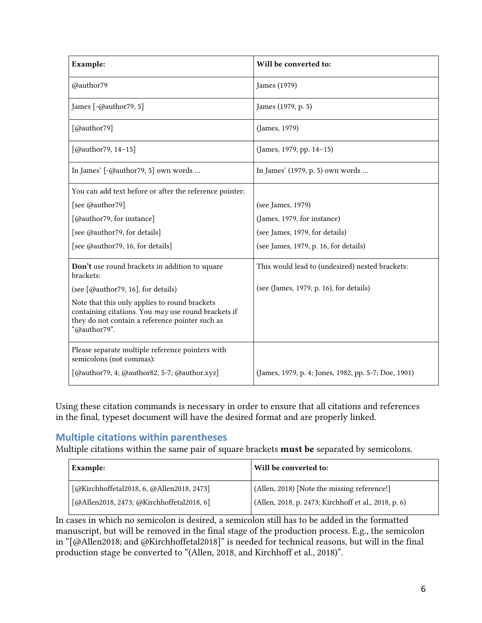| Example:                                                                                                                                                                | Will be converted to:                                |
|-------------------------------------------------------------------------------------------------------------------------------------------------------------------------|------------------------------------------------------|
| @author79                                                                                                                                                               | James (1979)                                         |
| James $[-@author79, 5]$                                                                                                                                                 | James (1979, p. 5)                                   |
| [@author79]                                                                                                                                                             | (James, 1979)                                        |
| $[@author79, 14-15]$                                                                                                                                                    | (James, 1979, pp. 14-15)                             |
| In James' [-@author79, 5] own words                                                                                                                                     | In James' (1979, p. 5) own words                     |
| You can add text before or after the reference pointer:                                                                                                                 |                                                      |
| [see @author79]                                                                                                                                                         | (see James, 1979)                                    |
| [@author79, for instance]                                                                                                                                               | (James, 1979, for instance)                          |
| [see @author79, for details]                                                                                                                                            | (see James, 1979, for details)                       |
| [see @author79, 16, for details]                                                                                                                                        | (see James, 1979, p. 16, for details)                |
| Don't use round brackets in addition to square<br>brackets:                                                                                                             | This would lead to (undesired) nested brackets:      |
| (see [@author79, 16], for details)                                                                                                                                      | (see (James, 1979, p. 16), for details)              |
| Note that this only applies to round brackets<br>containing citations. You may use round brackets if<br>they do not contain a reference pointer such as<br>"@author79". |                                                      |
| Please separate multiple reference pointers with<br>semicolons (not commas):                                                                                            |                                                      |
| [@author79, 4; @author82, 5-7; @author.xyz]                                                                                                                             | (James, 1979, p. 4; Jones, 1982, pp. 5-7; Doe, 1901) |

Using these citation commands is necessary in order to ensure that all citations and references in the final, typeset document will have the desired format and are properly linked.

#### **Multiple citations within parentheses**

Multiple citations within the same pair of square brackets must be separated by semicolons.

| Example:                                  | Will be converted to:                                |
|-------------------------------------------|------------------------------------------------------|
| [@Kirchhoffetal2018, 6, @Allen2018, 2473] | (Allen, 2018) [Note the missing reference!]          |
| [@Allen2018, 2473; @Kirchhoffetal2018, 6] | (Allen, 2018, p. 2473; Kirchhoff et al., 2018, p. 6) |

In cases in which no semicolon is desired, a semicolon still has to be added in the formatted manuscript, but will be removed in the final stage of the production process. E.g., the semicolon in "[@Allen2018; and @Kirchhoffetal2018]" is needed for technical reasons, but will in the final production stage be converted to "(Allen, 2018, and Kirchhoff et al., 2018)".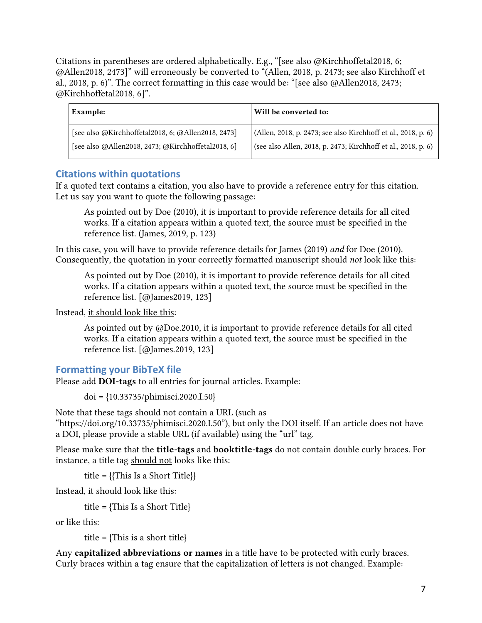Citations in parentheses are ordered alphabetically. E.g., "[see also @Kirchhoffetal2018, 6; @Allen2018, 2473]" will erroneously be converted to "(Allen, 2018, p. 2473; see also Kirchhoff et al., 2018, p. 6)". The correct formatting in this case would be: "[see also @Allen2018, 2473; @Kirchhoffetal2018, 6]".

| Example:                                           | Will be converted to:                                         |
|----------------------------------------------------|---------------------------------------------------------------|
| [see also @Kirchhoffetal2018, 6; @Allen2018, 2473] | (Allen, 2018, p. 2473; see also Kirchhoff et al., 2018, p. 6) |
| [see also @Allen2018, 2473; @Kirchhoffetal2018, 6] | (see also Allen, 2018, p. 2473; Kirchhoff et al., 2018, p. 6) |

#### <span id="page-6-0"></span>**Citations within quotations**

If a quoted text contains a citation, you also have to provide a reference entry for this citation. Let us say you want to quote the following passage:

As pointed out by Doe (2010), it is important to provide reference details for all cited works. If a citation appears within a quoted text, the source must be specified in the reference list. (James, 2019, p. 123)

In this case, you will have to provide reference details for James (2019) *and* for Doe (2010). Consequently, the quotation in your correctly formatted manuscript should *not* look like this:

As pointed out by Doe (2010), it is important to provide reference details for all cited works. If a citation appears within a quoted text, the source must be specified in the reference list. [@James2019, 123]

Instead, it should look like this:

As pointed out by @Doe.2010, it is important to provide reference details for all cited works. If a citation appears within a quoted text, the source must be specified in the reference list. [@James.2019, 123]

#### <span id="page-6-1"></span>**Formatting your BibTeX file**

Please add DOI-tags to all entries for journal articles. Example:

doi = {10.33735/phimisci.2020.I.50}

Note that these tags should not contain a URL (such as "https://doi.org/10.33735/phimisci.2020.I.50"), but only the DOI itself. If an article does not have a DOI, please provide a stable URL (if available) using the "url" tag.

Please make sure that the title-tags and booktitle-tags do not contain double curly braces. For instance, a title tag should not looks like this:

title =  ${This Is a Short Title}$ 

Instead, it should look like this:

title = {This Is a Short Title}

or like this:

title =  $\{This is a short title\}$ 

Any capitalized abbreviations or names in a title have to be protected with curly braces. Curly braces within a tag ensure that the capitalization of letters is not changed. Example: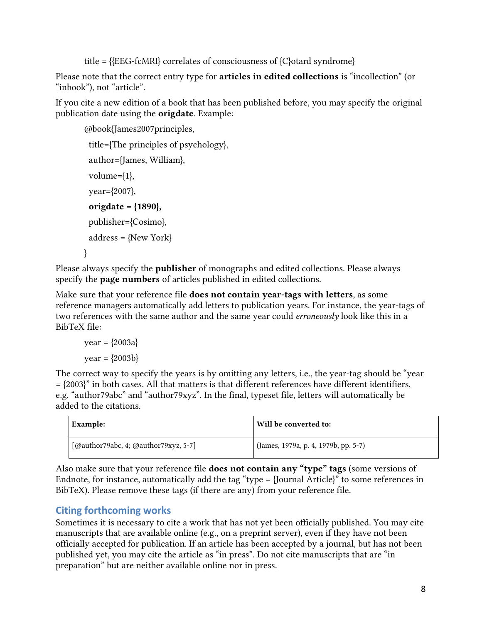title =  ${EEG-fcMRI}$  correlates of consciousness of  ${C}$  otard syndrome

Please note that the correct entry type for articles in edited collections is "incollection" (or "inbook"), not "article".

If you cite a new edition of a book that has been published before, you may specify the original publication date using the origdate. Example:

```
@book{James2007principles,
 title={The principles of psychology},
 author={James, William},
 volume={1},
 year={2007},
origdate = {1890},
 publisher={Cosimo},
address = \{New York\}}
```
Please always specify the **publisher** of monographs and edited collections. Please always specify the **page numbers** of articles published in edited collections.

Make sure that your reference file **does not contain year-tags with letters**, as some reference managers automatically add letters to publication years. For instance, the year-tags of two references with the same author and the same year could *erroneously* look like this in a BibTeX file:

year = {2003a}  $year = {2003b}$ 

The correct way to specify the years is by omitting any letters, i.e., the year-tag should be "year  $=$   ${2003}$ " in both cases. All that matters is that different references have different identifiers, e.g. "author79abc" and "author79xyz". In the final, typeset file, letters will automatically be added to the citations.

| Example:                             | Will be converted to:                |
|--------------------------------------|--------------------------------------|
| [@author79abc, 4; @author79xyz, 5-7] | (James, 1979a, p. 4, 1979b, pp. 5-7) |

Also make sure that your reference file does not contain any "type" tags (some versions of Endnote, for instance, automatically add the tag "type = {Journal Article}" to some references in BibTeX). Please remove these tags (if there are any) from your reference file.

### <span id="page-7-0"></span>**Citing forthcoming works**

Sometimes it is necessary to cite a work that has not yet been officially published. You may cite manuscripts that are available online (e.g., on a preprint server), even if they have not been officially accepted for publication. If an article has been accepted by a journal, but has not been published yet, you may cite the article as "in press". Do not cite manuscripts that are "in preparation" but are neither available online nor in press.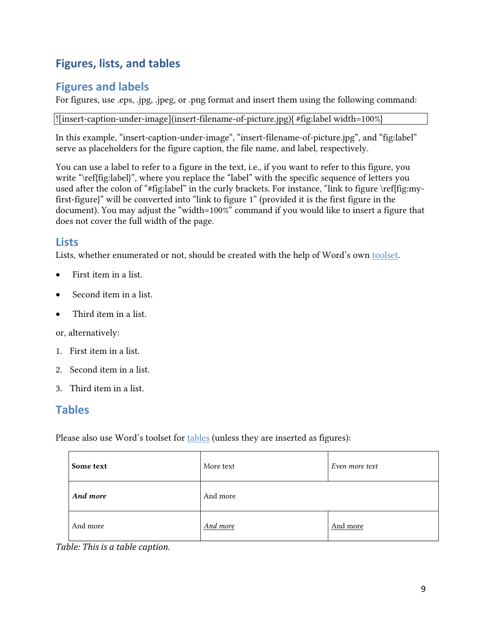## <span id="page-8-0"></span>**Figures, lists, and tables**

### <span id="page-8-1"></span>**Figures and labels**

For figures, use .eps, .jpg, .jpeg, or .png format and insert them using the following command:

![insert-caption-under-image](insert-filename-of-picture.jpg){ #fig:label width=100%}

In this example, "insert-caption-under-image", "insert-filename-of-picture.jpg", and "fig:label" serve as placeholders for the figure caption, the file name, and label, respectively.

You can use a label to refer to a figure in the text, i.e., if you want to refer to this figure, you write "\ref{fig:label}", where you replace the "label" with the specific sequence of letters you used after the colon of "#fig:label" in the curly brackets. For instance, "link to figure \ref{fig:myfirst-figure}" will be converted into "link to figure 1" (provided it is the first figure in the document). You may adjust the "width=100%" command if you would like to insert a figure that does not cover the full width of the page.

#### <span id="page-8-2"></span>**Lists**

Lists, whether enumerated or not, should be created with the help of Word's own [tools](https://support.office.com/en-us/article/create-a-bulleted-or-numbered-list-9ff81241-58a8-4d88-8d8c-acab3006a23e)et.

- First item in a list.
- Second item in a list.
- Third item in a list.

or, alternatively:

- 1. First item in a list.
- 2. Second item in a list.
- 3. Third item in a list.

### <span id="page-8-3"></span>**Tables**

Please also use Word's toolset for [tables](https://support.office.com/en-us/article/Insert-a-table-A138F745-73EF-4879-B99A-2F3D38BE612A) (unless they are inserted as figures):

| Some text | More text | Even more text |
|-----------|-----------|----------------|
| And more  | And more  |                |
| And more  | And more  | And more       |

*Table: This is a table caption.*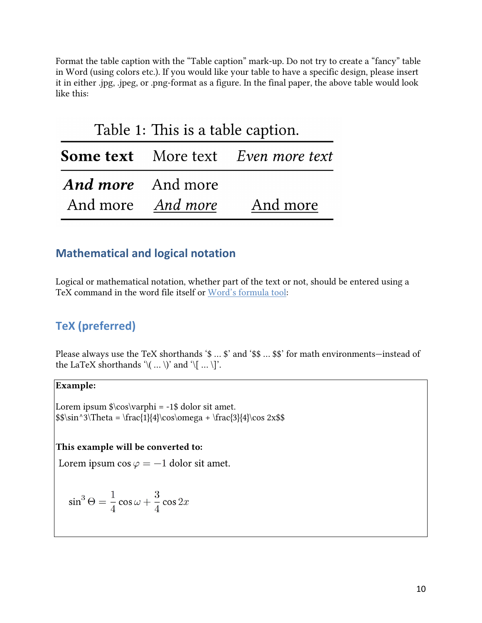Format the table caption with the "Table caption" mark-up. Do not try to create a "fancy" table in Word (using colors etc.). If you would like your table to have a specific design, please insert it in either .jpg, .jpeg, or .png-format as a figure. In the final paper, the above table would look like this:

| Table 1: This is a table caption. |                   |                                           |
|-----------------------------------|-------------------|-------------------------------------------|
|                                   |                   | <b>Some text</b> More text Even more text |
| <b>And more</b> And more          |                   |                                           |
|                                   | And more And more | And more                                  |

### <span id="page-9-0"></span>**Mathematical and logical notation**

Logical or mathematical notation, whether part of the text or not, should be entered using a TeX command in the word file itself or Word's [formula](https://support.office.com/en-us/article/Write-an-equation-or-formula-1d01cabc-ceb1-458d-bc70-7f9737722702) tool:

## <span id="page-9-1"></span>**TeX (preferred)**

Please always use the TeX shorthands '\$ ... \$' and '\$\$ ... \$\$' for math environments—instead of the LaTeX shorthands  $\langle \langle ... \rangle \rangle$  and  $\langle \langle ... \rangle \rangle$ .

#### Example:

Lorem ipsum \$\cos\varphi = -1\$ dolor sit amet.  $\sin^3\Theta = \frac{1}{4}\cos\omega + \frac{3}{4}\cos 2x$ 

#### This example will be converted to:

Lorem ipsum  $\cos \varphi = -1$  dolor sit amet.

$$
\sin^3 \Theta = \frac{1}{4} \cos \omega + \frac{3}{4} \cos 2x
$$